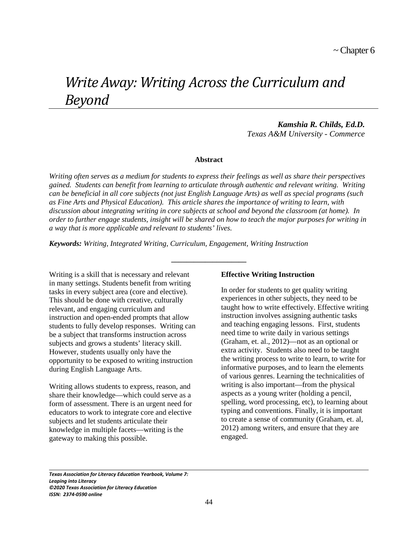# *Write Away: Writing Across the Curriculum and Beyond*

*Kamshia R. Childs, Ed.D. Texas A&M University - Commerce*

#### **Abstract**

*Writing often serves as a medium for students to express their feelings as well as share their perspectives gained. Students can benefit from learning to articulate through authentic and relevant writing. Writing can be beneficial in all core subjects (not just English Language Arts) as well as special programs (such as Fine Arts and Physical Education). This article shares the importance of writing to learn, with discussion about integrating writing in core subjects at school and beyond the classroom (at home). In order to further engage students, insight will be shared on how to teach the major purposes for writing in a way that is more applicable and relevant to students' lives.* 

**\_\_\_\_\_\_\_\_\_\_\_\_\_\_\_\_\_\_\_\_**

*Keywords: Writing, Integrated Writing, Curriculum, Engagement, Writing Instruction* 

Writing is a skill that is necessary and relevant in many settings. Students benefit from writing tasks in every subject area (core and elective). This should be done with creative, culturally relevant, and engaging curriculum and instruction and open-ended prompts that allow students to fully develop responses. Writing can be a subject that transforms instruction across subjects and grows a students' literacy skill. However, students usually only have the opportunity to be exposed to writing instruction during English Language Arts.

Writing allows students to express, reason, and share their knowledge—which could serve as a form of assessment. There is an urgent need for educators to work to integrate core and elective subjects and let students articulate their knowledge in multiple facets—writing is the gateway to making this possible.

#### **Effective Writing Instruction**

In order for students to get quality writing experiences in other subjects, they need to be taught how to write effectively. Effective writing instruction involves assigning authentic tasks and teaching engaging lessons. First, students need time to write daily in various settings (Graham, et. al., 2012)—not as an optional or extra activity. Students also need to be taught the writing process to write to learn, to write for informative purposes, and to learn the elements of various genres. Learning the technicalities of writing is also important—from the physical aspects as a young writer (holding a pencil, spelling, word processing, etc), to learning about typing and conventions. Finally, it is important to create a sense of community (Graham, et. al, 2012) among writers, and ensure that they are engaged.

*Texas Association for Literacy Education Yearbook, Volume 7: Leaping into Literacy ©2020 Texas Association for Literacy Education ISSN: 2374-0590 online*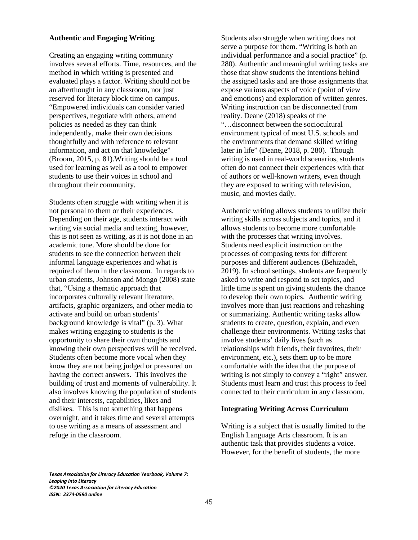#### **Authentic and Engaging Writing**

Creating an engaging writing community involves several efforts. Time, resources, and the method in which writing is presented and evaluated plays a factor. Writing should not be an afterthought in any classroom, nor just reserved for literacy block time on campus. "Empowered individuals can consider varied perspectives, negotiate with others, amend policies as needed as they can think independently, make their own decisions thoughtfully and with reference to relevant information, and act on that knowledge" (Broom, 2015, p. 81).Writing should be a tool used for learning as well as a tool to empower students to use their voices in school and throughout their community.

Students often struggle with writing when it is not personal to them or their experiences. Depending on their age, students interact with writing via social media and texting, however, this is not seen as writing, as it is not done in an academic tone. More should be done for students to see the connection between their informal language experiences and what is required of them in the classroom. In regards to urban students, Johnson and Mongo (2008) state that, "Using a thematic approach that incorporates culturally relevant literature, artifacts, graphic organizers, and other media to activate and build on urban students' background knowledge is vital" (p. 3). What makes writing engaging to students is the opportunity to share their own thoughts and knowing their own perspectives will be received. Students often become more vocal when they know they are not being judged or pressured on having the correct answers. This involves the building of trust and moments of vulnerability. It also involves knowing the population of students and their interests, capabilities, likes and dislikes. This is not something that happens overnight, and it takes time and several attempts to use writing as a means of assessment and refuge in the classroom.

Students also struggle when writing does not serve a purpose for them. "Writing is both an individual performance and a social practice" (p. 280). Authentic and meaningful writing tasks are those that show students the intentions behind the assigned tasks and are those assignments that expose various aspects of voice (point of view and emotions) and exploration of written genres. Writing instruction can be disconnected from reality. Deane (2018) speaks of the "…disconnect between the sociocultural environment typical of most U.S. schools and the environments that demand skilled writing later in life" (Deane, 2018, p. 280). Though writing is used in real-world scenarios, students often do not connect their experiences with that of authors or well-known writers, even though they are exposed to writing with television, music, and movies daily.

Authentic writing allows students to utilize their writing skills across subjects and topics, and it allows students to become more comfortable with the processes that writing involves. Students need explicit instruction on the processes of composing texts for different purposes and different audiences (Behizadeh, 2019). In school settings, students are frequently asked to write and respond to set topics, and little time is spent on giving students the chance to develop their own topics. Authentic writing involves more than just reactions and rehashing or summarizing. Authentic writing tasks allow students to create, question, explain, and even challenge their environments. Writing tasks that involve students' daily lives (such as relationships with friends, their favorites, their environment, etc.), sets them up to be more comfortable with the idea that the purpose of writing is not simply to convey a "right" answer. Students must learn and trust this process to feel connected to their curriculum in any classroom.

## **Integrating Writing Across Curriculum**

Writing is a subject that is usually limited to the English Language Arts classroom. It is an authentic task that provides students a voice. However, for the benefit of students, the more

*Texas Association for Literacy Education Yearbook, Volume 7: Leaping into Literacy ©2020 Texas Association for Literacy Education ISSN: 2374-0590 online*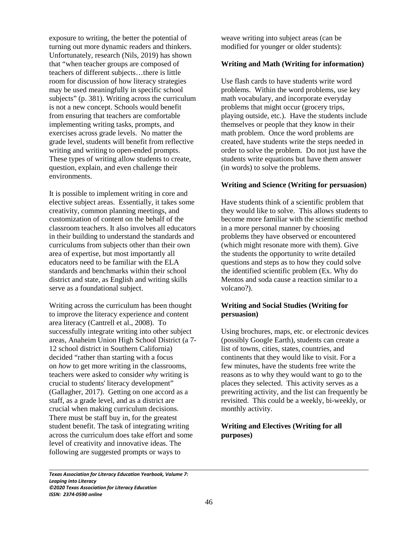exposure to writing, the better the potential of turning out more dynamic readers and thinkers. Unfortunately, research (Nils, 2019) has shown that "when teacher groups are composed of teachers of different subjects…there is little room for discussion of how literacy strategies may be used meaningfully in specific school subjects" (p. 381). Writing across the curriculum is not a new concept. Schools would benefit from ensuring that teachers are comfortable implementing writing tasks, prompts, and exercises across grade levels. No matter the grade level, students will benefit from reflective writing and writing to open-ended prompts. These types of writing allow students to create, question, explain, and even challenge their environments.

It is possible to implement writing in core and elective subject areas. Essentially, it takes some creativity, common planning meetings, and customization of content on the behalf of the classroom teachers. It also involves all educators in their building to understand the standards and curriculums from subjects other than their own area of expertise, but most importantly all educators need to be familiar with the ELA standards and benchmarks within their school district and state, as English and writing skills serve as a foundational subject.

Writing across the curriculum has been thought to improve the literacy experience and content area literacy (Cantrell et al., 2008). To successfully integrate writing into other subject areas, Anaheim Union High School District (a 7- 12 school district in Southern California) decided "rather than starting with a focus on *how* to get more writing in the classrooms, teachers were asked to consider *why* writing is crucial to students' literacy development" (Gallagher, 2017). Getting on one accord as a staff, as a grade level, and as a district are crucial when making curriculum decisions. There must be staff buy in, for the greatest student benefit. The task of integrating writing across the curriculum does take effort and some level of creativity and innovative ideas. The following are suggested prompts or ways to

weave writing into subject areas (can be modified for younger or older students):

# **Writing and Math (Writing for information)**

Use flash cards to have students write word problems. Within the word problems, use key math vocabulary, and incorporate everyday problems that might occur (grocery trips, playing outside, etc.). Have the students include themselves or people that they know in their math problem. Once the word problems are created, have students write the steps needed in order to solve the problem. Do not just have the students write equations but have them answer (in words) to solve the problems.

## **Writing and Science (Writing for persuasion)**

Have students think of a scientific problem that they would like to solve. This allows students to become more familiar with the scientific method in a more personal manner by choosing problems they have observed or encountered (which might resonate more with them). Give the students the opportunity to write detailed questions and steps as to how they could solve the identified scientific problem (Ex. Why do Mentos and soda cause a reaction similar to a volcano?).

# **Writing and Social Studies (Writing for persuasion)**

Using brochures, maps, etc. or electronic devices (possibly Google Earth), students can create a list of towns, cities, states, countries, and continents that they would like to visit. For a few minutes, have the students free write the reasons as to why they would want to go to the places they selected. This activity serves as a prewriting activity, and the list can frequently be revisited. This could be a weekly, bi-weekly, or monthly activity.

# **Writing and Electives (Writing for all purposes)**

*Texas Association for Literacy Education Yearbook, Volume 7: Leaping into Literacy ©2020 Texas Association for Literacy Education ISSN: 2374-0590 online*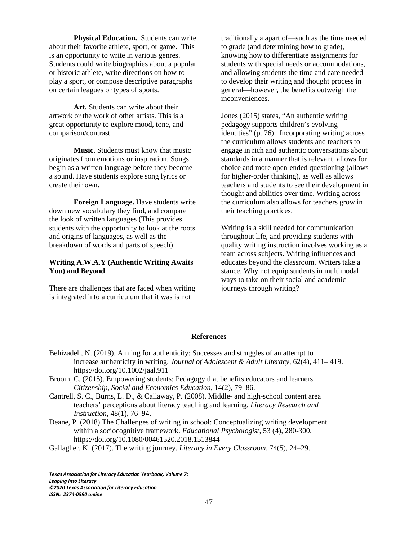**Physical Education.** Students can write about their favorite athlete, sport, or game. This is an opportunity to write in various genres. Students could write biographies about a popular or historic athlete, write directions on how-to play a sport, or compose descriptive paragraphs on certain leagues or types of sports.

**Art.** Students can write about their artwork or the work of other artists. This is a great opportunity to explore mood, tone, and comparison/contrast.

**Music.** Students must know that music originates from emotions or inspiration. Songs begin as a written language before they become a sound. Have students explore song lyrics or create their own.

**Foreign Language.** Have students write down new vocabulary they find, and compare the look of written languages (This provides students with the opportunity to look at the roots and origins of languages, as well as the breakdown of words and parts of speech).

# **Writing A.W.A.Y (Authentic Writing Awaits You) and Beyond**

There are challenges that are faced when writing is integrated into a curriculum that it was is not

traditionally a apart of—such as the time needed to grade (and determining how to grade), knowing how to differentiate assignments for students with special needs or accommodations, and allowing students the time and care needed to develop their writing and thought process in general—however, the benefits outweigh the inconveniences.

Jones (2015) states, "An authentic writing pedagogy supports children's evolving identities" (p. 76). Incorporating writing across the curriculum allows students and teachers to engage in rich and authentic conversations about standards in a manner that is relevant, allows for choice and more open-ended questioning (allows for higher-order thinking), as well as allows teachers and students to see their development in thought and abilities over time. Writing across the curriculum also allows for teachers grow in their teaching practices.

Writing is a skill needed for communication throughout life, and providing students with quality writing instruction involves working as a team across subjects. Writing influences and educates beyond the classroom. Writers take a stance. Why not equip students in multimodal ways to take on their social and academic journeys through writing?

#### **References**

**\_\_\_\_\_\_\_\_\_\_\_\_\_\_\_\_\_\_\_\_** 

- Behizadeh, N. (2019). Aiming for authenticity: Successes and struggles of an attempt to increase authenticity in writing. *Journal of Adolescent & Adult Literacy*, 62(4), 411– 419. https://doi.org/10.1002/jaal.911
- Broom, C. (2015). Empowering students: Pedagogy that benefits educators and learners. *Citizenship, Social and Economics Education*, 14(2), 79–86.
- Cantrell, S. C., Burns, L. D., & Callaway, P. (2008). Middle- and high-school content area teachers' perceptions about literacy teaching and learning. *Literacy Research and Instruction*, 48(1), 76–94.
- Deane, P. (2018) The Challenges of writing in school: Conceptualizing writing development within a sociocognitive framework. *Educational Psychologist*, 53 (4), 280-300. https://doi.org/10.1080/00461520.2018.1513844
- Gallagher, K. (2017). The writing journey. *Literacy in Every Classroom*, 74(5), 24–29.

 $\overline{\phantom{0}}$ *Texas Association for Literacy Education Yearbook, Volume 7: Leaping into Literacy ©2020 Texas Association for Literacy Education ISSN: 2374-0590 online*